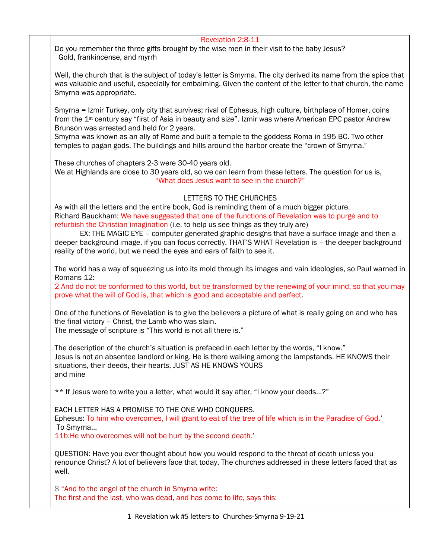| Revelation 2:8-11                                                                                                                                                                                                                                                                                                                                                                                                                                                                                                                                                                                    |  |
|------------------------------------------------------------------------------------------------------------------------------------------------------------------------------------------------------------------------------------------------------------------------------------------------------------------------------------------------------------------------------------------------------------------------------------------------------------------------------------------------------------------------------------------------------------------------------------------------------|--|
| Do you remember the three gifts brought by the wise men in their visit to the baby Jesus?<br>Gold, frankincense, and myrrh                                                                                                                                                                                                                                                                                                                                                                                                                                                                           |  |
| Well, the church that is the subject of today's letter is Smyrna. The city derived its name from the spice that<br>was valuable and useful, especially for embalming. Given the content of the letter to that church, the name<br>Smyrna was appropriate.                                                                                                                                                                                                                                                                                                                                            |  |
| Smyrna = Izmir Turkey, only city that survives; rival of Ephesus, high culture, birthplace of Homer, coins<br>from the 1 <sup>st</sup> century say "first of Asia in beauty and size". Izmir was where American EPC pastor Andrew<br>Brunson was arrested and held for 2 years.<br>Smyrna was known as an ally of Rome and built a temple to the goddess Roma in 195 BC. Two other<br>temples to pagan gods. The buildings and hills around the harbor create the "crown of Smyrna."                                                                                                                 |  |
| These churches of chapters 2-3 were 30-40 years old.<br>We at Highlands are close to 30 years old, so we can learn from these letters. The question for us is,<br>"What does Jesus want to see in the church?"                                                                                                                                                                                                                                                                                                                                                                                       |  |
| LETTERS TO THE CHURCHES<br>As with all the letters and the entire book, God is reminding them of a much bigger picture.<br>Richard Bauckham: We have suggested that one of the functions of Revelation was to purge and to<br>refurbish the Christian imagination (i.e. to help us see things as they truly are)<br>EX: THE MAGIC EYE - computer generated graphic designs that have a surface image and then a<br>deeper background image, if you can focus correctly. THAT'S WHAT Revelation is - the deeper background<br>reality of the world, but we need the eyes and ears of faith to see it. |  |
| The world has a way of squeezing us into its mold through its images and vain ideologies, so Paul warned in<br>Romans 12:<br>2 And do not be conformed to this world, but be transformed by the renewing of your mind, so that you may<br>prove what the will of God is, that which is good and acceptable and perfect.                                                                                                                                                                                                                                                                              |  |
| One of the functions of Revelation is to give the believers a picture of what is really going on and who has<br>the final victory - Christ, the Lamb who was slain.<br>The message of scripture is "This world is not all there is."                                                                                                                                                                                                                                                                                                                                                                 |  |
| The description of the church's situation is prefaced in each letter by the words, "I know."<br>Jesus is not an absentee landlord or king. He is there walking among the lampstands. HE KNOWS their<br>situations, their deeds, their hearts, JUST AS HE KNOWS YOURS<br>and mine                                                                                                                                                                                                                                                                                                                     |  |
| ** If Jesus were to write you a letter, what would it say after, "I know your deeds?"                                                                                                                                                                                                                                                                                                                                                                                                                                                                                                                |  |
| EACH LETTER HAS A PROMISE TO THE ONE WHO CONQUERS.<br>Ephesus: To him who overcomes, I will grant to eat of the tree of life which is in the Paradise of God.'<br>To Smyrna<br>11b:He who overcomes will not be hurt by the second death.'                                                                                                                                                                                                                                                                                                                                                           |  |
| QUESTION: Have you ever thought about how you would respond to the threat of death unless you<br>renounce Christ? A lot of believers face that today. The churches addressed in these letters faced that as<br>well.                                                                                                                                                                                                                                                                                                                                                                                 |  |
| 8 "And to the angel of the church in Smyrna write:<br>The first and the last, who was dead, and has come to life, says this:                                                                                                                                                                                                                                                                                                                                                                                                                                                                         |  |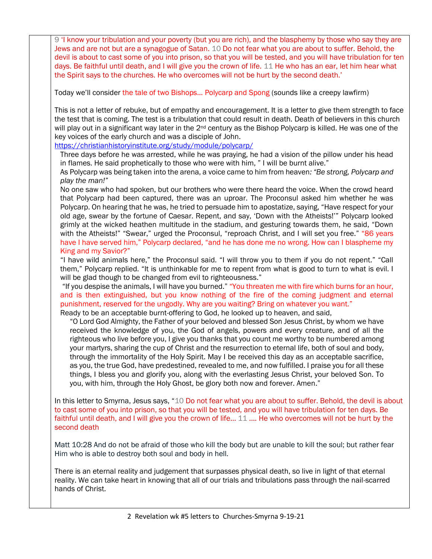9 'I know your tribulation and your poverty (but you are rich), and the blasphemy by those who say they are Jews and are not but are a synagogue of Satan. 10 Do not fear what you are about to suffer. Behold, the devil is about to cast some of you into prison, so that you will be tested, and you will have tribulation for ten days. Be faithful until death, and I will give you the crown of life. 11 He who has an ear, let him hear what the Spirit says to the churches. He who overcomes will not be hurt by the second death.'

Today we'll consider the tale of two Bishops… Polycarp and Spong (sounds like a creepy lawfirm)

This is not a letter of rebuke, but of empathy and encouragement. It is a letter to give them strength to face the test that is coming. The test is a tribulation that could result in death. Death of believers in this church will play out in a significant way later in the 2<sup>nd</sup> century as the Bishop Polycarp is killed. He was one of the key voices of the early church and was a disciple of John.

<https://christianhistoryinstitute.org/study/module/polycarp/>

Three days before he was arrested, while he was praying, he had a vision of the pillow under his head in flames. He said prophetically to those who were with him, " I will be burnt alive."

As Polycarp was being taken into the arena, a voice came to him from heaven*: "Be strong, Polycarp and play the man!"* 

No one saw who had spoken, but our brothers who were there heard the voice. When the crowd heard that Polycarp had been captured, there was an uproar. The Proconsul asked him whether he was Polycarp. On hearing that he was, he tried to persuade him to apostatize, saying, "Have respect for your old age, swear by the fortune of Caesar. Repent, and say, 'Down with the Atheists!'" Polycarp looked grimly at the wicked heathen multitude in the stadium, and gesturing towards them, he said, "Down with the Atheists!" "Swear," urged the Proconsul, "reproach Christ, and I will set you free." "86 years have I have served him," Polycarp declared, "and he has done me no wrong. How can I blaspheme my King and my Savior?"

"I have wild animals here," the Proconsul said. "I will throw you to them if you do not repent." "Call them," Polycarp replied. "It is unthinkable for me to repent from what is good to turn to what is evil. I will be glad though to be changed from evil to righteousness."

"If you despise the animals, I will have you burned." "You threaten me with fire which burns for an hour, and is then extinguished, but you know nothing of the fire of the coming judgment and eternal punishment, reserved for the ungodly. Why are you waiting? Bring on whatever you want."

Ready to be an acceptable burnt-offering to God, he looked up to heaven, and said,

"O Lord God Almighty, the Father of your beloved and blessed Son Jesus Christ, by whom we have received the knowledge of you, the God of angels, powers and every creature, and of all the righteous who live before you, I give you thanks that you count me worthy to be numbered among your martyrs, sharing the cup of Christ and the resurrection to eternal life, both of soul and body, through the immortality of the Holy Spirit. May I be received this day as an acceptable sacrifice, as you, the true God, have predestined, revealed to me, and now fulfilled. I praise you for all these things, I bless you and glorify you, along with the everlasting Jesus Christ, your beloved Son. To you, with him, through the Holy Ghost, be glory both now and forever. Amen."

In this letter to Smyrna, Jesus says, "10 Do not fear what you are about to suffer. Behold, the devil is about to cast some of you into prison, so that you will be tested, and you will have tribulation for ten days. Be faithful until death, and I will give you the crown of life... 11 .... He who overcomes will not be hurt by the second death

Matt 10:28 And do not be afraid of those who kill the body but are unable to kill the soul; but rather fear Him who is able to destroy both soul and body in hell.

There is an eternal reality and judgement that surpasses physical death, so live in light of that eternal reality. We can take heart in knowing that all of our trials and tribulations pass through the nail-scarred hands of Christ.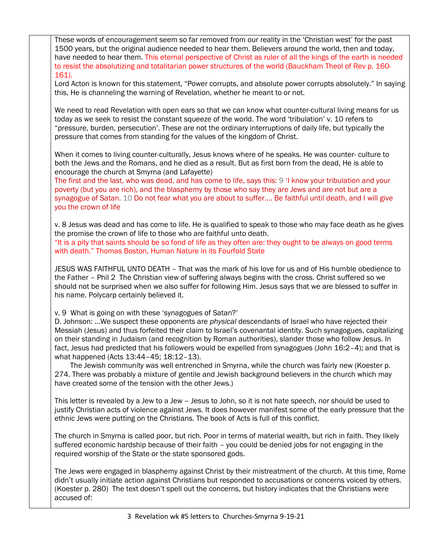These words of encouragement seem so far removed from our reality in the 'Christian west' for the past 1500 years, but the original audience needed to hear them. Believers around the world, then and today, have needed to hear them. This eternal perspective of Christ as ruler of all the kings of the earth is needed to resist the absolutizing and totalitarian power structures of the world (Bauckham Theol of Rev p. 160- 161). Lord Acton is known for this statement, "Power corrupts, and absolute power corrupts absolutely." In saying this, He is channeling the warning of Revelation, whether he meant to or not. We need to read Revelation with open ears so that we can know what counter-cultural living means for us today as we seek to resist the constant squeeze of the world. The word 'tribulation' v. 10 refers to "pressure, burden, persecution'. These are not the ordinary interruptions of daily life, but typically the pressure that comes from standing for the values of the kingdom of Christ. When it comes to living counter-culturally, Jesus knows where of he speaks. He was counter- culture to both the Jews and the Romans, and he died as a result. But as first born from the dead, He is able to encourage the church at Smyrna (and Lafayette) The first and the last, who was dead, and has come to life, says this: 9 'I know your tribulation and your poverty (but you are rich), and the blasphemy by those who say they are Jews and are not but are a synagogue of Satan. 10 Do not fear what you are about to suffer.... Be faithful until death, and I will give you the crown of life v. 8 Jesus was dead and has come to life. He is qualified to speak to those who may face death as he gives the promise the crown of life to those who are faithful unto death. "It is a pity that saints should be so fond of life as they often are: they ought to be always on good terms with death." Thomas Boston, Human Nature in its Fourfold State JESUS WAS FAITHFUL UNTO DEATH – That was the mark of his love for us and of His humble obedience to the Father – Phil 2 The Christian view of suffering always begins with the cross. Christ suffered so we should not be surprised when we also suffer for following Him. Jesus says that we are blessed to suffer in his name. Polycarp certainly believed it. v. 9 What is going on with these 'synagogues of Satan?' D. Johnson: …We suspect these opponents are *physical* descendants of Israel who have rejected their Messiah (Jesus) and thus forfeited their claim to Israel's covenantal identity. Such synagogues, capitalizing on their standing in Judaism (and recognition by Roman authorities), slander those who follow Jesus. In fact, Jesus had predicted that his followers would be expelled from synagogues (John 16:2–4); and that is what happened (Acts 13:44–45; 18:12–13). The Jewish community was well entrenched in Smyrna, while the church was fairly new (Koester p. 274. There was probably a mixture of gentile and Jewish background believers in the church which may have created some of the tension with the other Jews.) This letter is revealed by a Jew to a Jew – Jesus to John, so it is not hate speech, nor should be used to justify Christian acts of violence against Jews. It does however manifest some of the early pressure that the ethnic Jews were putting on the Christians. The book of Acts is full of this conflict. The church in Smyrna is called poor, but rich. Poor in terms of material wealth, but rich in faith. They likely suffered economic hardship because of their faith – you could be denied jobs for not engaging in the required worship of the State or the state sponsored gods. The Jews were engaged in blasphemy against Christ by their mistreatment of the church. At this time, Rome didn't usually initiate action against Christians but responded to accusations or concerns voiced by others. (Koester p. 280) The text doesn't spell out the concerns, but history indicates that the Christians were accused of: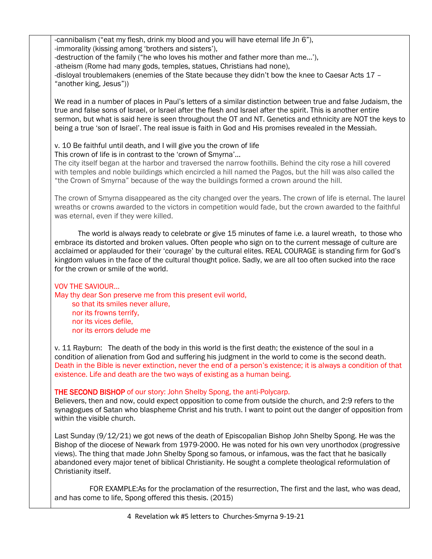-cannibalism ("eat my flesh, drink my blood and you will have eternal life Jn 6"), -immorality (kissing among 'brothers and sisters'),

-destruction of the family ("he who loves his mother and father more than me…'), -atheism (Rome had many gods, temples, statues, Christians had none), -disloyal troublemakers (enemies of the State because they didn't bow the knee to Caesar Acts 17 – "another king, Jesus"))

We read in a number of places in Paul's letters of a similar distinction between true and false Judaism, the true and false sons of Israel, or Israel after the flesh and Israel after the spirit. This is another entire sermon, but what is said here is seen throughout the OT and NT. Genetics and ethnicity are NOT the keys to being a true 'son of Israel'. The real issue is faith in God and His promises revealed in the Messiah.

## v. 10 Be faithful until death, and I will give you the crown of life

This crown of life is in contrast to the 'crown of Smyrna'…

The city itself began at the harbor and traversed the narrow foothills. Behind the city rose a hill covered with temples and noble buildings which encircled a hill named the Pagos, but the hill was also called the "the Crown of Smyrna" because of the way the buildings formed a crown around the hill.

The crown of Smyrna disappeared as the city changed over the years. The crown of life is eternal. The laurel wreaths or crowns awarded to the victors in competition would fade, but the crown awarded to the faithful was eternal, even if they were killed.

 The world is always ready to celebrate or give 15 minutes of fame i.e. a laurel wreath, to those who embrace its distorted and broken values. Often people who sign on to the current message of culture are acclaimed or applauded for their 'courage' by the cultural elites. REAL COURAGE is standing firm for God's kingdom values in the face of the cultural thought police. Sadly, we are all too often sucked into the race for the crown or smile of the world.

## VOV THE SAVIOUR…

May thy dear Son preserve me from this present evil world, so that its smiles never allure, nor its frowns terrify, nor its vices defile, nor its errors delude me

v. 11 Rayburn: The death of the body in this world is the first death; the existence of the soul in a condition of alienation from God and suffering his judgment in the world to come is the second death. Death in the Bible is never extinction, never the end of a person's existence; it is always a condition of that existence. Life and death are the two ways of existing as a human being.

## THE SECOND BISHOP of our story: John Shelby Spong, the anti-Polycarp.

Believers, then and now, could expect opposition to come from outside the church, and 2:9 refers to the synagogues of Satan who blaspheme Christ and his truth. I want to point out the danger of opposition from within the visible church.

Last Sunday (9/12/21) we got news of the death of Episcopalian Bishop John Shelby Spong. He was the Bishop of the diocese of Newark from 1979-2000. He was noted for his own very unorthodox (progressive views). The thing that made John Shelby Spong so famous, or infamous, was the fact that he basically abandoned every major tenet of biblical Christianity. He sought a complete theological reformulation of Christianity itself.

 FOR EXAMPLE:As for the proclamation of the resurrection, The first and the last, who was dead, and has come to life, Spong offered this thesis. (2015)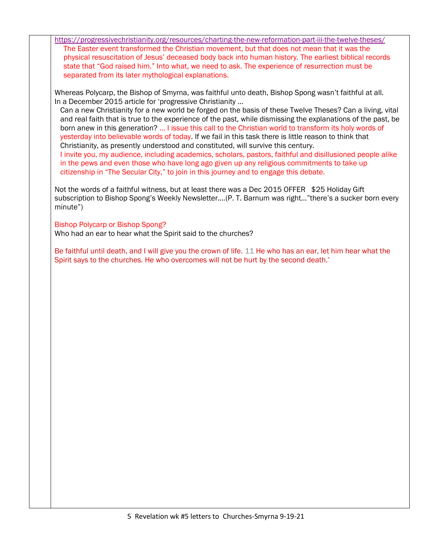<https://progressivechristianity.org/resources/charting-the-new-reformation-part-iii-the-twelve-theses/> The Easter event transformed the Christian movement, but that does not mean that it was the physical resuscitation of Jesus' deceased body back into human history. The earliest biblical records state that "God raised him." Into what, we need to ask. The experience of resurrection must be separated from its later mythological explanations. Whereas Polycarp, the Bishop of Smyrna, was faithful unto death, Bishop Spong wasn't faithful at all. In a December 2015 article for 'progressive Christianity … Can a new Christianity for a new world be forged on the basis of these Twelve Theses? Can a living, vital and real faith that is true to the experience of the past, while dismissing the explanations of the past, be

born anew in this generation? ... I issue this call to the Christian world to transform its holy words of yesterday into believable words of today. If we fail in this task there is little reason to think that Christianity, as presently understood and constituted, will survive this century. I invite you, my audience, including academics, scholars, pastors, faithful and disillusioned people alike in the pews and even those who have long ago given up any religious commitments to take up citizenship in "The Secular City," to join in this journey and to engage this debate.

Not the words of a faithful witness, but at least there was a Dec 2015 OFFER \$25 Holiday Gift subscription to Bishop Spong's Weekly Newsletter.…(P. T. Barnum was right…"there's a sucker born every minute")

Bishop Polycarp or Bishop Spong?

Who had an ear to hear what the Spirit said to the churches?

Be faithful until death, and I will give you the crown of life. 11 He who has an ear, let him hear what the Spirit says to the churches. He who overcomes will not be hurt by the second death.'